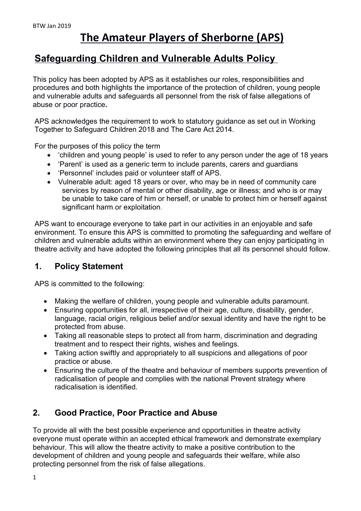# **The Amateur Players of Sherborne (APS)**

# **Safeguarding Children and Vulnerable Adults Policy**

This policy has been adopted by APS as it establishes our roles, responsibilities and procedures and both highlights the importance of the protection of children, young people and vulnerable adults and safeguards all personnel from the risk of false allegations of abuse or poor practice**.** 

APS acknowledges the requirement to work to statutory guidance as set out in Working Together to Safeguard Children 2018 and The Care Act 2014.

For the purposes of this policy the term

- 'children and young people' is used to refer to any person under the age of 18 years
- 'Parent' is used as a generic term to include parents, carers and guardians
- 'Personnel' includes paid or volunteer staff of APS.
- Vulnerable adult: aged 18 years or over, who may be in need of community care services by reason of mental or other disability, age or illness; and who is or may be unable to take care of him or herself, or unable to protect him or herself against significant harm or exploitation.

APS want to encourage everyone to take part in our activities in an enjoyable and safe environment. To ensure this APS is committed to promoting the safeguarding and welfare of children and vulnerable adults within an environment where they can enjoy participating in theatre activity and have adopted the following principles that all its personnel should follow.

# **1. Policy Statement**

APS is committed to the following:

- Making the welfare of children, young people and vulnerable adults paramount.
- Ensuring opportunities for all, irrespective of their age, culture, disability, gender, language, racial origin, religious belief and/or sexual identity and have the right to be protected from abuse.
- Taking all reasonable steps to protect all from harm, discrimination and degrading treatment and to respect their rights, wishes and feelings.
- Taking action swiftly and appropriately to all suspicions and allegations of poor practice or abuse.
- Ensuring the culture of the theatre and behaviour of members supports prevention of radicalisation of people and complies with the national Prevent strategy where radicalisation is identified.

# **2. Good Practice, Poor Practice and Abuse**

To provide all with the best possible experience and opportunities in theatre activity everyone must operate within an accepted ethical framework and demonstrate exemplary behaviour. This will allow the theatre activity to make a positive contribution to the development of children and young people and safeguards their welfare, while also protecting personnel from the risk of false allegations.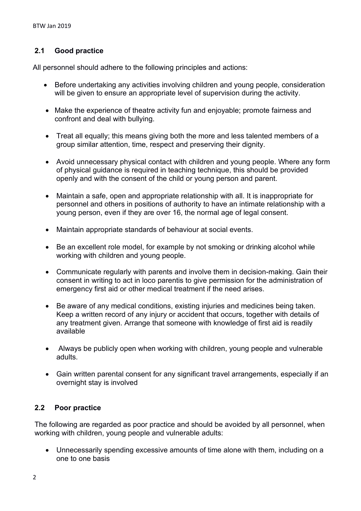# **2.1 Good practice**

All personnel should adhere to the following principles and actions:

- Before undertaking any activities involving children and young people, consideration will be given to ensure an appropriate level of supervision during the activity.
- Make the experience of theatre activity fun and enjoyable; promote fairness and confront and deal with bullying.
- Treat all equally; this means giving both the more and less talented members of a group similar attention, time, respect and preserving their dignity.
- Avoid unnecessary physical contact with children and young people. Where any form of physical guidance is required in teaching technique, this should be provided openly and with the consent of the child or young person and parent.
- Maintain a safe, open and appropriate relationship with all. It is inappropriate for personnel and others in positions of authority to have an intimate relationship with a young person, even if they are over 16, the normal age of legal consent.
- Maintain appropriate standards of behaviour at social events.
- Be an excellent role model, for example by not smoking or drinking alcohol while working with children and young people.
- Communicate regularly with parents and involve them in decision-making. Gain their consent in writing to act in loco parentis to give permission for the administration of emergency first aid or other medical treatment if the need arises.
- Be aware of any medical conditions, existing injuries and medicines being taken. Keep a written record of any injury or accident that occurs, together with details of any treatment given. Arrange that someone with knowledge of first aid is readily available
- Always be publicly open when working with children, young people and vulnerable adults.
- Gain written parental consent for any significant travel arrangements, especially if an overnight stay is involved

# **2.2 Poor practice**

The following are regarded as poor practice and should be avoided by all personnel, when working with children, young people and vulnerable adults:

 Unnecessarily spending excessive amounts of time alone with them, including on a one to one basis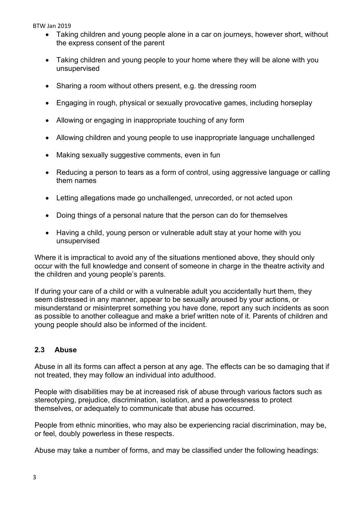BTW Jan 2019

- Taking children and young people alone in a car on journeys, however short, without the express consent of the parent
- Taking children and young people to your home where they will be alone with you unsupervised
- Sharing a room without others present, e.g. the dressing room
- Engaging in rough, physical or sexually provocative games, including horseplay
- Allowing or engaging in inappropriate touching of any form
- Allowing children and young people to use inappropriate language unchallenged
- Making sexually suggestive comments, even in fun
- Reducing a person to tears as a form of control, using aggressive language or calling them names
- Letting allegations made go unchallenged, unrecorded, or not acted upon
- Doing things of a personal nature that the person can do for themselves
- Having a child, young person or vulnerable adult stay at your home with you unsupervised

Where it is impractical to avoid any of the situations mentioned above, they should only occur with the full knowledge and consent of someone in charge in the theatre activity and the children and young people's parents.

If during your care of a child or with a vulnerable adult you accidentally hurt them, they seem distressed in any manner, appear to be sexually aroused by your actions, or misunderstand or misinterpret something you have done, report any such incidents as soon as possible to another colleague and make a brief written note of it. Parents of children and young people should also be informed of the incident.

#### **2.3 Abuse**

Abuse in all its forms can affect a person at any age. The effects can be so damaging that if not treated, they may follow an individual into adulthood.

People with disabilities may be at increased risk of abuse through various factors such as stereotyping, prejudice, discrimination, isolation, and a powerlessness to protect themselves, or adequately to communicate that abuse has occurred.

People from ethnic minorities, who may also be experiencing racial discrimination, may be, or feel, doubly powerless in these respects.

Abuse may take a number of forms, and may be classified under the following headings: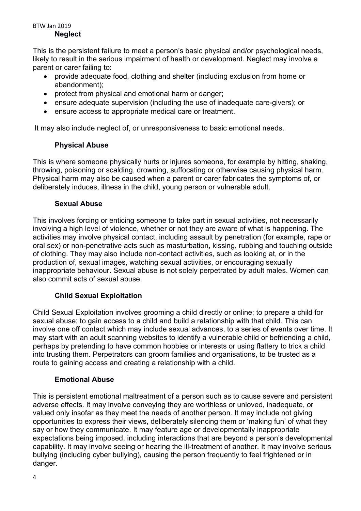#### BTW Jan 2019 **Neglect**

This is the persistent failure to meet a person's basic physical and/or psychological needs, likely to result in the serious impairment of health or development. Neglect may involve a parent or carer failing to:

- provide adequate food, clothing and shelter (including exclusion from home or abandonment);
- protect from physical and emotional harm or danger:
- ensure adequate supervision (including the use of inadequate care-givers); or
- ensure access to appropriate medical care or treatment.

It may also include neglect of, or unresponsiveness to basic emotional needs.

# **Physical Abuse**

This is where someone physically hurts or injures someone, for example by hitting, shaking, throwing, poisoning or scalding, drowning, suffocating or otherwise causing physical harm. Physical harm may also be caused when a parent or carer fabricates the symptoms of, or deliberately induces, illness in the child, young person or vulnerable adult.

# **Sexual Abuse**

This involves forcing or enticing someone to take part in sexual activities, not necessarily involving a high level of violence, whether or not they are aware of what is happening. The activities may involve physical contact, including assault by penetration (for example, rape or oral sex) or non-penetrative acts such as masturbation, kissing, rubbing and touching outside of clothing. They may also include non-contact activities, such as looking at, or in the production of, sexual images, watching sexual activities, or encouraging sexually inappropriate behaviour. Sexual abuse is not solely perpetrated by adult males. Women can also commit acts of sexual abuse.

# **Child Sexual Exploitation**

Child Sexual Exploitation involves grooming a child directly or online; to prepare a child for sexual abuse; to gain access to a child and build a relationship with that child. This can involve one off contact which may include sexual advances, to a series of events over time. It may start with an adult scanning websites to identify a vulnerable child or befriending a child, perhaps by pretending to have common hobbies or interests or using flattery to trick a child into trusting them. Perpetrators can groom families and organisations, to be trusted as a route to gaining access and creating a relationship with a child.

# **Emotional Abuse**

This is persistent emotional maltreatment of a person such as to cause severe and persistent adverse effects. It may involve conveying they are worthless or unloved, inadequate, or valued only insofar as they meet the needs of another person. It may include not giving opportunities to express their views, deliberately silencing them or 'making fun' of what they say or how they communicate. It may feature age or developmentally inappropriate expectations being imposed, including interactions that are beyond a person's developmental capability. It may involve seeing or hearing the ill-treatment of another. It may involve serious bullying (including cyber bullying), causing the person frequently to feel frightened or in danger.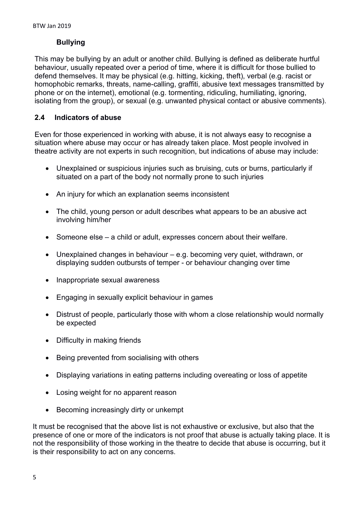# **Bullying**

This may be bullying by an adult or another child. Bullying is defined as deliberate hurtful behaviour, usually repeated over a period of time, where it is difficult for those bullied to defend themselves. It may be physical (e.g. hitting, kicking, theft), verbal (e.g. racist or homophobic remarks, threats, name-calling, graffiti, abusive text messages transmitted by phone or on the internet), emotional (e.g. tormenting, ridiculing, humiliating, ignoring, isolating from the group), or sexual (e.g. unwanted physical contact or abusive comments).

# **2.4 Indicators of abuse**

Even for those experienced in working with abuse, it is not always easy to recognise a situation where abuse may occur or has already taken place. Most people involved in theatre activity are not experts in such recognition, but indications of abuse may include:

- Unexplained or suspicious injuries such as bruising, cuts or burns, particularly if situated on a part of the body not normally prone to such injuries
- An injury for which an explanation seems inconsistent
- The child, young person or adult describes what appears to be an abusive act involving him/her
- Someone else a child or adult, expresses concern about their welfare.
- Unexplained changes in behaviour e.g. becoming very quiet, withdrawn, or displaying sudden outbursts of temper - or behaviour changing over time
- Inappropriate sexual awareness
- Engaging in sexually explicit behaviour in games
- Distrust of people, particularly those with whom a close relationship would normally be expected
- Difficulty in making friends
- Being prevented from socialising with others
- Displaying variations in eating patterns including overeating or loss of appetite
- Losing weight for no apparent reason
- Becoming increasingly dirty or unkempt

It must be recognised that the above list is not exhaustive or exclusive, but also that the presence of one or more of the indicators is not proof that abuse is actually taking place. It is not the responsibility of those working in the theatre to decide that abuse is occurring, but it is their responsibility to act on any concerns.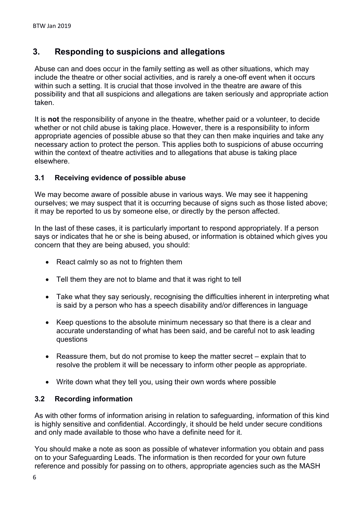# **3. Responding to suspicions and allegations**

Abuse can and does occur in the family setting as well as other situations, which may include the theatre or other social activities, and is rarely a one-off event when it occurs within such a setting. It is crucial that those involved in the theatre are aware of this possibility and that all suspicions and allegations are taken seriously and appropriate action taken.

It is **not** the responsibility of anyone in the theatre, whether paid or a volunteer, to decide whether or not child abuse is taking place. However, there is a responsibility to inform appropriate agencies of possible abuse so that they can then make inquiries and take any necessary action to protect the person. This applies both to suspicions of abuse occurring within the context of theatre activities and to allegations that abuse is taking place elsewhere.

# **3.1 Receiving evidence of possible abuse**

We may become aware of possible abuse in various ways. We may see it happening ourselves; we may suspect that it is occurring because of signs such as those listed above; it may be reported to us by someone else, or directly by the person affected.

In the last of these cases, it is particularly important to respond appropriately. If a person says or indicates that he or she is being abused, or information is obtained which gives you concern that they are being abused, you should:

- React calmly so as not to frighten them
- Tell them they are not to blame and that it was right to tell
- Take what they say seriously, recognising the difficulties inherent in interpreting what is said by a person who has a speech disability and/or differences in language
- Keep questions to the absolute minimum necessary so that there is a clear and accurate understanding of what has been said, and be careful not to ask leading questions
- Reassure them, but do not promise to keep the matter secret explain that to resolve the problem it will be necessary to inform other people as appropriate.
- Write down what they tell you, using their own words where possible

# **3.2 Recording information**

As with other forms of information arising in relation to safeguarding, information of this kind is highly sensitive and confidential. Accordingly, it should be held under secure conditions and only made available to those who have a definite need for it.

You should make a note as soon as possible of whatever information you obtain and pass on to your Safeguarding Leads. The information is then recorded for your own future reference and possibly for passing on to others, appropriate agencies such as the MASH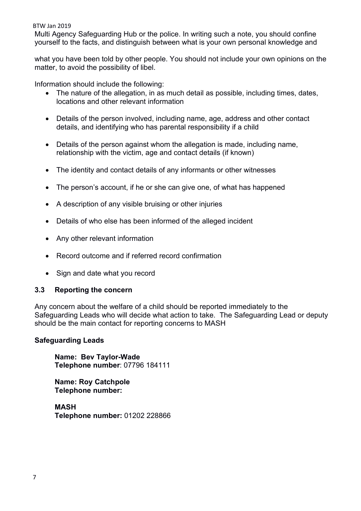#### BTW Jan 2019

Multi Agency Safeguarding Hub or the police. In writing such a note, you should confine yourself to the facts, and distinguish between what is your own personal knowledge and

what you have been told by other people. You should not include your own opinions on the matter, to avoid the possibility of libel.

Information should include the following:

- The nature of the allegation, in as much detail as possible, including times, dates, locations and other relevant information
- Details of the person involved, including name, age, address and other contact details, and identifying who has parental responsibility if a child
- Details of the person against whom the allegation is made, including name, relationship with the victim, age and contact details (if known)
- The identity and contact details of any informants or other witnesses
- The person's account, if he or she can give one, of what has happened
- A description of any visible bruising or other injuries
- Details of who else has been informed of the alleged incident
- Any other relevant information
- Record outcome and if referred record confirmation
- Sign and date what you record

#### **3.3 Reporting the concern**

Any concern about the welfare of a child should be reported immediately to the Safeguarding Leads who will decide what action to take. The Safeguarding Lead or deputy should be the main contact for reporting concerns to MASH

#### **Safeguarding Leads**

**Name: Bev Taylor-Wade Telephone number**: 07796 184111

**Name: Roy Catchpole Telephone number:** 

**MASH Telephone number:** 01202 228866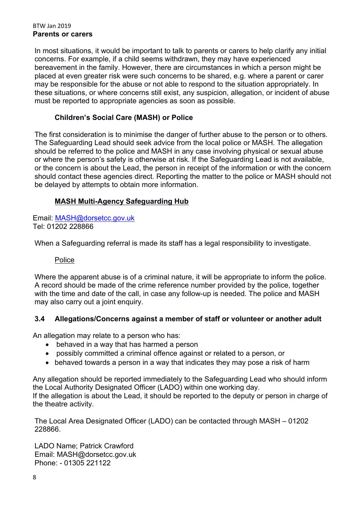#### BTW Jan 2019 **Parents or carers**

In most situations, it would be important to talk to parents or carers to help clarify any initial concerns. For example, if a child seems withdrawn, they may have experienced bereavement in the family. However, there are circumstances in which a person might be placed at even greater risk were such concerns to be shared, e.g. where a parent or carer may be responsible for the abuse or not able to respond to the situation appropriately. In these situations, or where concerns still exist, any suspicion, allegation, or incident of abuse must be reported to appropriate agencies as soon as possible.

# **Children's Social Care (MASH) or Police**

The first consideration is to minimise the danger of further abuse to the person or to others. The Safeguarding Lead should seek advice from the local police or MASH. The allegation should be referred to the police and MASH in any case involving physical or sexual abuse or where the person's safety is otherwise at risk. If the Safeguarding Lead is not available, or the concern is about the Lead, the person in receipt of the information or with the concern should contact these agencies direct. Reporting the matter to the police or MASH should not be delayed by attempts to obtain more information.

# **MASH Multi-Agency Safeguarding Hub**

Email: MASH@dorsetcc.gov.uk Tel: 01202 228866

When a Safeguarding referral is made its staff has a legal responsibility to investigate.

# Police

Where the apparent abuse is of a criminal nature, it will be appropriate to inform the police. A record should be made of the crime reference number provided by the police, together with the time and date of the call, in case any follow-up is needed. The police and MASH may also carry out a joint enquiry.

# **3.4 Allegations/Concerns against a member of staff or volunteer or another adult**

An allegation may relate to a person who has:

- behaved in a way that has harmed a person
- possibly committed a criminal offence against or related to a person, or
- behaved towards a person in a way that indicates they may pose a risk of harm

Any allegation should be reported immediately to the Safeguarding Lead who should inform the Local Authority Designated Officer (LADO) within one working day. If the allegation is about the Lead, it should be reported to the deputy or person in charge of the theatre activity.

The Local Area Designated Officer (LADO) can be contacted through MASH – 01202 228866.

LADO Name; Patrick Crawford Email: MASH@dorsetcc.gov.uk Phone: - 01305 221122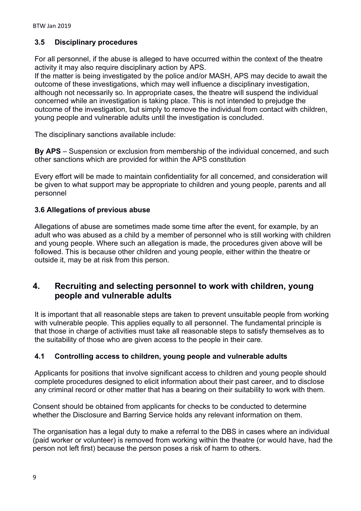# **3.5 Disciplinary procedures**

For all personnel, if the abuse is alleged to have occurred within the context of the theatre activity it may also require disciplinary action by APS.

If the matter is being investigated by the police and/or MASH, APS may decide to await the outcome of these investigations, which may well influence a disciplinary investigation, although not necessarily so. In appropriate cases, the theatre will suspend the individual concerned while an investigation is taking place. This is not intended to prejudge the outcome of the investigation, but simply to remove the individual from contact with children, young people and vulnerable adults until the investigation is concluded.

The disciplinary sanctions available include:

**By APS** – Suspension or exclusion from membership of the individual concerned, and such other sanctions which are provided for within the APS constitution

Every effort will be made to maintain confidentiality for all concerned, and consideration will be given to what support may be appropriate to children and young people, parents and all personnel

# **3.6 Allegations of previous abuse**

Allegations of abuse are sometimes made some time after the event, for example, by an adult who was abused as a child by a member of personnel who is still working with children and young people. Where such an allegation is made, the procedures given above will be followed. This is because other children and young people, either within the theatre or outside it, may be at risk from this person.

# **4. Recruiting and selecting personnel to work with children, young people and vulnerable adults**

It is important that all reasonable steps are taken to prevent unsuitable people from working with vulnerable people. This applies equally to all personnel. The fundamental principle is that those in charge of activities must take all reasonable steps to satisfy themselves as to the suitability of those who are given access to the people in their care.

# **4.1 Controlling access to children, young people and vulnerable adults**

Applicants for positions that involve significant access to children and young people should complete procedures designed to elicit information about their past career, and to disclose any criminal record or other matter that has a bearing on their suitability to work with them.

Consent should be obtained from applicants for checks to be conducted to determine whether the Disclosure and Barring Service holds any relevant information on them.

The organisation has a legal duty to make a referral to the DBS in cases where an individual (paid worker or volunteer) is removed from working within the theatre (or would have, had the person not left first) because the person poses a risk of harm to others.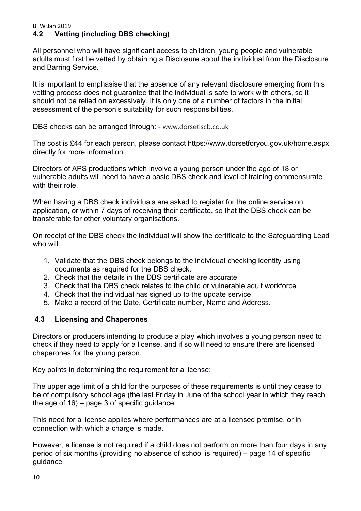# **4.2 Vetting (including DBS checking)**

All personnel who will have significant access to children, young people and vulnerable adults must first be vetted by obtaining a Disclosure about the individual from the Disclosure and Barring Service.

It is important to emphasise that the absence of any relevant disclosure emerging from this vetting process does not guarantee that the individual is safe to work with others, so it should not be relied on excessively. It is only one of a number of factors in the initial assessment of the person's suitability for such responsibilities.

DBS checks can be arranged through: - www.dorsetlscb.co.uk

The cost is £44 for each person, please contact https://www.dorsetforyou.gov.uk/home.aspx directly for more information.

Directors of APS productions which involve a young person under the age of 18 or vulnerable adults will need to have a basic DBS check and level of training commensurate with their role

When having a DBS check individuals are asked to register for the online service on application, or within 7 days of receiving their certificate, so that the DBS check can be transferable for other voluntary organisations.

On receipt of the DBS check the individual will show the certificate to the Safeguarding Lead who will:

- 1. Validate that the DBS check belongs to the individual checking identity using documents as required for the DBS check.
- 2. Check that the details in the DBS certificate are accurate
- 3. Check that the DBS check relates to the child or vulnerable adult workforce
- 4. Check that the individual has signed up to the update service
- 5. Make a record of the Date, Certificate number, Name and Address.

# **4.3 Licensing and Chaperones**

Directors or producers intending to produce a play which involves a young person need to check if they need to apply for a license, and if so will need to ensure there are licensed chaperones for the young person.

Key points in determining the requirement for a license:

The upper age limit of a child for the purposes of these requirements is until they cease to be of compulsory school age (the last Friday in June of the school year in which they reach the age of  $16$ ) – page 3 of specific quidance

This need for a license applies where performances are at a licensed premise, or in connection with which a charge is made.

However, a license is not required if a child does not perform on more than four days in any period of six months (providing no absence of school is required) – page 14 of specific guidance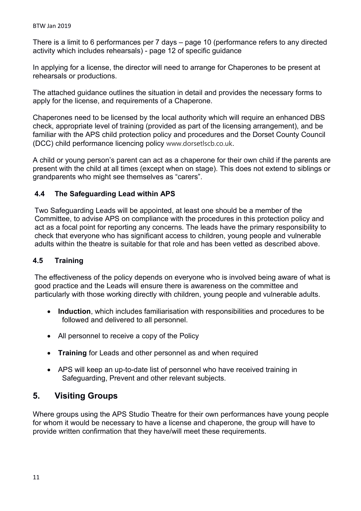There is a limit to 6 performances per 7 days – page 10 (performance refers to any directed activity which includes rehearsals) - page 12 of specific guidance

In applying for a license, the director will need to arrange for Chaperones to be present at rehearsals or productions.

The attached guidance outlines the situation in detail and provides the necessary forms to apply for the license, and requirements of a Chaperone.

Chaperones need to be licensed by the local authority which will require an enhanced DBS check, appropriate level of training (provided as part of the licensing arrangement), and be familiar with the APS child protection policy and procedures and the Dorset County Council (DCC) child performance licencing policy www.dorsetlscb.co.uk.

A child or young person's parent can act as a chaperone for their own child if the parents are present with the child at all times (except when on stage). This does not extend to siblings or grandparents who might see themselves as "carers".

### **4.4 The Safeguarding Lead within APS**

Two Safeguarding Leads will be appointed, at least one should be a member of the Committee, to advise APS on compliance with the procedures in this protection policy and act as a focal point for reporting any concerns. The leads have the primary responsibility to check that everyone who has significant access to children, young people and vulnerable adults within the theatre is suitable for that role and has been vetted as described above.

#### **4.5 Training**

The effectiveness of the policy depends on everyone who is involved being aware of what is good practice and the Leads will ensure there is awareness on the committee and particularly with those working directly with children, young people and vulnerable adults.

- **Induction**, which includes familiarisation with responsibilities and procedures to be followed and delivered to all personnel.
- All personnel to receive a copy of the Policy
- **Training** for Leads and other personnel as and when required
- APS will keep an up-to-date list of personnel who have received training in Safeguarding, Prevent and other relevant subjects.

# **5. Visiting Groups**

Where groups using the APS Studio Theatre for their own performances have young people for whom it would be necessary to have a license and chaperone, the group will have to provide written confirmation that they have/will meet these requirements.